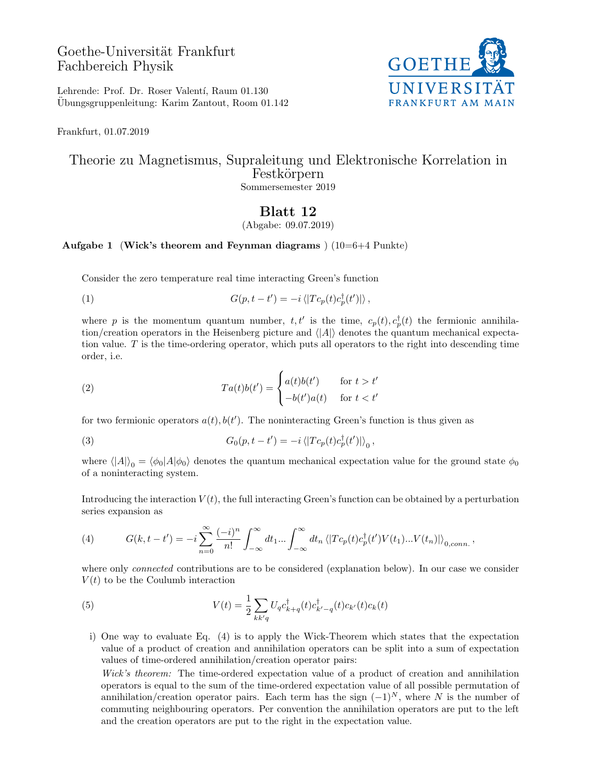## Goethe-Universität Frankfurt Fachbereich Physik



Lehrende: Prof. Dr. Roser Valentí, Raum 01.130 Ubungsgruppenleitung: Karim Zantout, Room 01.142 ¨

Frankfurt, 01.07.2019

## Theorie zu Magnetismus, Supraleitung und Elektronische Korrelation in Festkörpern Sommersemester 2019

## Blatt 12

(Abgabe: 09.07.2019)

## Aufgabe 1 (Wick's theorem and Feynman diagrams)  $(10=6+4 \text{ Punkte})$

Consider the zero temperature real time interacting Green's function

(1)  $G(p, t - t') = -i \langle |T c_p(t) c_p^{\dagger}(t')| \rangle,$ 

where p is the momentum quantum number,  $t, t'$  is the time,  $c_p(t), c_p^{\dagger}(t)$  the fermionic annihilation/creation operators in the Heisenberg picture and  $\langle |A|\rangle$  denotes the quantum mechanical expectation value.  $T$  is the time-ordering operator, which puts all operators to the right into descending time order, i.e.

(2) 
$$
Ta(t)b(t') = \begin{cases} a(t)b(t') & \text{for } t > t' \\ -b(t')a(t) & \text{for } t < t' \end{cases}
$$

for two fermionic operators  $a(t)$ ,  $b(t')$ . The noninteracting Green's function is thus given as

(3) 
$$
G_0(p, t - t') = -i \left\langle |T c_p(t) c_p^{\dagger}(t')| \right\rangle_0,
$$

where  $\langle |A|\rangle_0 = \langle \phi_0|A|\phi_0\rangle$  denotes the quantum mechanical expectation value for the ground state  $\phi_0$ of a noninteracting system.

Introducing the interaction  $V(t)$ , the full interacting Green's function can be obtained by a perturbation series expansion as

(4) 
$$
G(k, t-t') = -i \sum_{n=0}^{\infty} \frac{(-i)^n}{n!} \int_{-\infty}^{\infty} dt_1 ... \int_{-\infty}^{\infty} dt_n \langle |T c_p(t) c_p^{\dagger}(t') V(t_1) ... V(t_n)| \rangle_{0, conn.},
$$

where only *connected* contributions are to be considered (explanation below). In our case we consider  $V(t)$  to be the Coulumb interaction

(5) 
$$
V(t) = \frac{1}{2} \sum_{kk'q} U_q c_{k+q}^{\dagger}(t) c_{k'-q}^{\dagger}(t) c_{k'}(t) c_k(t)
$$

i) One way to evaluate Eq. (4) is to apply the Wick-Theorem which states that the expectation value of a product of creation and annihilation operators can be split into a sum of expectation values of time-ordered annihilation/creation operator pairs:

Wick's theorem: The time-ordered expectation value of a product of creation and annihilation operators is equal to the sum of the time-ordered expectation value of all possible permutation of annihilation/creation operator pairs. Each term has the sign  $(-1)^N$ , where N is the number of commuting neighbouring operators. Per convention the annihilation operators are put to the left and the creation operators are put to the right in the expectation value.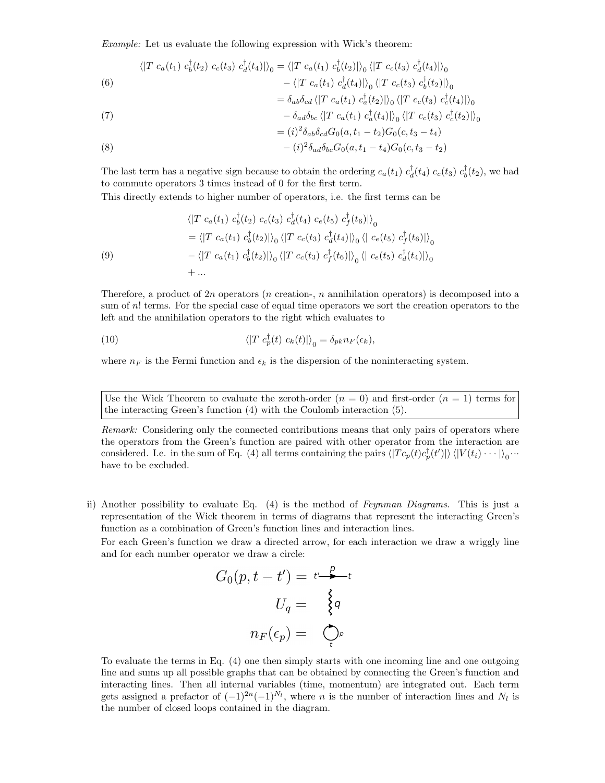Example: Let us evaluate the following expression with Wick's theorem:

(6) 
$$
\langle |T c_a(t_1) c_b^{\dagger}(t_2) c_c(t_3) c_d^{\dagger}(t_4) | \rangle_0 = \langle |T c_a(t_1) c_b^{\dagger}(t_2) | \rangle_0 \langle |T c_c(t_3) c_d^{\dagger}(t_4) | \rangle_0 - \langle |T c_a(t_1) c_d^{\dagger}(t_4) | \rangle_0 \langle |T c_c(t_3) c_b^{\dagger}(t_2) | \rangle_0
$$

(7) 
$$
= \delta_{ab}\delta_{cd} \langle |T c_a(t_1) c_a^{\dagger}(t_2)| \rangle_0 \langle |T c_c(t_3) c_c^{\dagger}(t_4)| \rangle_0 - \delta_{ad}\delta_{bc} \langle |T c_a(t_1) c_a^{\dagger}(t_4)| \rangle_0 \langle |T c_c(t_3) c_c^{\dagger}(t_2)| \rangle_0
$$

$$
= (i)^2 \delta_{ab} \delta_{cd} G_0(a, t_1 - t_2) G_0(c, t_3 - t_4)
$$

(8) 
$$
-(i)^2 \delta_{ad} \delta_{bc} G_0(a, t_1 - t_4) G_0(c, t_3 - t_2)
$$

The last term has a negative sign because to obtain the ordering  $c_a(t_1) c_d^{\dagger}(t_4) c_c(t_3) c_b^{\dagger}(t_2)$ , we had to commute operators 3 times instead of 0 for the first term.

This directly extends to higher number of operators, i.e. the first terms can be

(9)  
\n
$$
\langle |T c_a(t_1) c_b^{\dagger}(t_2) c_c(t_3) c_d^{\dagger}(t_4) c_e(t_5) c_f^{\dagger}(t_6)| \rangle_0
$$
\n
$$
= \langle |T c_a(t_1) c_b^{\dagger}(t_2)| \rangle_0 \langle |T c_c(t_3) c_d^{\dagger}(t_4)| \rangle_0 \langle | c_e(t_5) c_f^{\dagger}(t_6)| \rangle_0
$$
\n
$$
- \langle |T c_a(t_1) c_b^{\dagger}(t_2)| \rangle_0 \langle |T c_c(t_3) c_f^{\dagger}(t_6)| \rangle_0 \langle | c_e(t_5) c_d^{\dagger}(t_4)| \rangle_0
$$
\n
$$
+ ...
$$

Therefore, a product of 2n operators (n creation-, n annihilation operators) is decomposed into a sum of  $n!$  terms. For the special case of equal time operators we sort the creation operators to the left and the annihilation operators to the right which evaluates to

(10) 
$$
\langle |T c_p^{\dagger}(t) c_k(t)| \rangle_0 = \delta_{pk} n_F(\epsilon_k),
$$

where  $n_F$  is the Fermi function and  $\epsilon_k$  is the dispersion of the noninteracting system.

Use the Wick Theorem to evaluate the zeroth-order  $(n = 0)$  and first-order  $(n = 1)$  terms for the interacting Green's function (4) with the Coulomb interaction (5).

Remark: Considering only the connected contributions means that only pairs of operators where the operators from the Green's function are paired with other operator from the interaction are considered. I.e. in the sum of Eq. (4) all terms containing the pairs  $\langle |T c_p(t) c_p^{\dagger}(t')| \rangle \langle |V(t_i) \cdots| \rangle_0 \cdots$ have to be excluded.

ii) Another possibility to evaluate Eq. (4) is the method of Feynman Diagrams. This is just a representation of the Wick theorem in terms of diagrams that represent the interacting Green's function as a combination of Green's function lines and interaction lines.

For each Green's function we draw a directed arrow, for each interaction we draw a wriggly line and for each number operator we draw a circle:

$$
G_0(p, t - t') = t \xrightarrow{p} t
$$

$$
U_q = \begin{cases} q \\ q \\ \end{cases}
$$

$$
n_F(\epsilon_p) = \bigcirc_t^p
$$

To evaluate the terms in Eq. (4) one then simply starts with one incoming line and one outgoing line and sums up all possible graphs that can be obtained by connecting the Green's function and interacting lines. Then all internal variables (time, momentum) are integrated out. Each term gets assigned a prefactor of  $(-1)^{2n}(-1)^{N_l}$ , where n is the number of interaction lines and N<sub>l</sub> is the number of closed loops contained in the diagram.